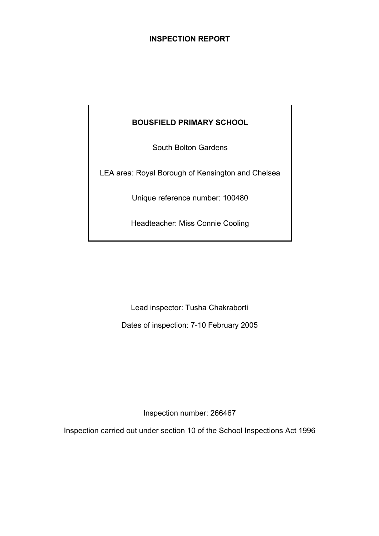# **INSPECTION REPORT**

# **BOUSFIELD PRIMARY SCHOOL**

South Bolton Gardens

LEA area: Royal Borough of Kensington and Chelsea

Unique reference number: 100480

Headteacher: Miss Connie Cooling

Lead inspector: Tusha Chakraborti

Dates of inspection: 7-10 February 2005

Inspection number: 266467

Inspection carried out under section 10 of the School Inspections Act 1996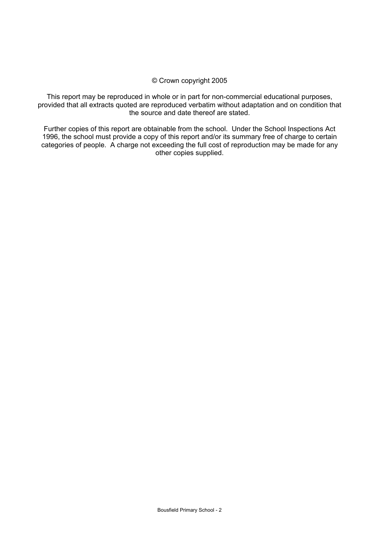#### © Crown copyright 2005

This report may be reproduced in whole or in part for non-commercial educational purposes, provided that all extracts quoted are reproduced verbatim without adaptation and on condition that the source and date thereof are stated.

Further copies of this report are obtainable from the school. Under the School Inspections Act 1996, the school must provide a copy of this report and/or its summary free of charge to certain categories of people. A charge not exceeding the full cost of reproduction may be made for any other copies supplied.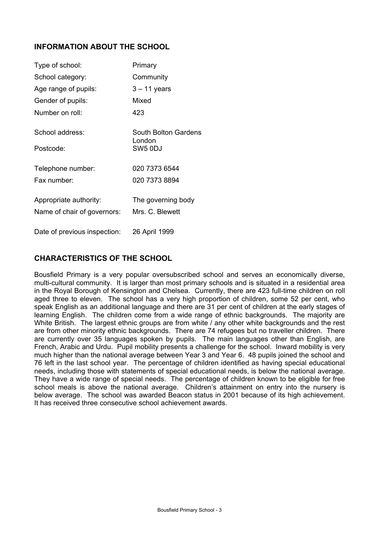### **INFORMATION ABOUT THE SCHOOL**

| Type of school:              | Primary                        |
|------------------------------|--------------------------------|
| School category:             | Community                      |
| Age range of pupils:         | $3 - 11$ years                 |
| Gender of pupils:            | Mixed                          |
| Number on roll:              | 423                            |
| School address:              | South Bolton Gardens<br>London |
| Postcode:                    | SW5 0DJ                        |
| Telephone number:            | 020 7373 6544                  |
| Fax number:                  | 020 7373 8894                  |
| Appropriate authority:       | The governing body             |
| Name of chair of governors:  | Mrs. C. Blewett                |
| Date of previous inspection: | 26 April 1999                  |

## **CHARACTERISTICS OF THE SCHOOL**

Bousfield Primary is a very popular oversubscribed school and serves an economically diverse, multi-cultural community. It is larger than most primary schools and is situated in a residential area in the Royal Borough of Kensington and Chelsea. Currently, there are 423 full-time children on roll aged three to eleven. The school has a very high proportion of children, some 52 per cent, who speak English as an additional language and there are 31 per cent of children at the early stages of learning English. The children come from a wide range of ethnic backgrounds. The majority are White British. The largest ethnic groups are from white / any other white backgrounds and the rest are from other minority ethnic backgrounds. There are 74 refugees but no traveller children. There are currently over 35 languages spoken by pupils. The main languages other than English, are French, Arabic and Urdu. Pupil mobility presents a challenge for the school. Inward mobility is very much higher than the national average between Year 3 and Year 6. 48 pupils joined the school and 76 left in the last school year. The percentage of children identified as having special educational needs, including those with statements of special educational needs, is below the national average. They have a wide range of special needs. The percentage of children known to be eligible for free school meals is above the national average. Children's attainment on entry into the nursery is below average. The school was awarded Beacon status in 2001 because of its high achievement. It has received three consecutive school achievement awards.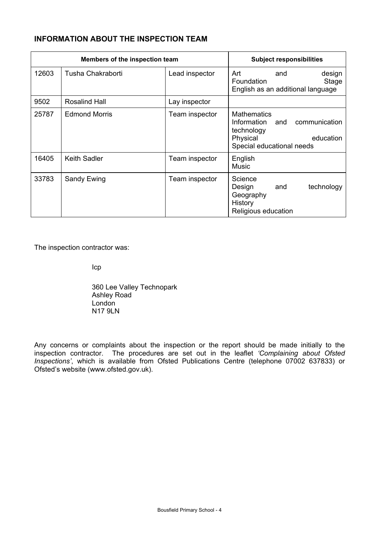# **INFORMATION ABOUT THE INSPECTION TEAM**

| Members of the inspection team |                      |                | <b>Subject responsibilities</b>                                                                                               |
|--------------------------------|----------------------|----------------|-------------------------------------------------------------------------------------------------------------------------------|
| 12603                          | Tusha Chakraborti    | Lead inspector | Art<br>design<br>and<br>Stage<br>Foundation<br>English as an additional language                                              |
| 9502                           | <b>Rosalind Hall</b> | Lay inspector  |                                                                                                                               |
| 25787                          | <b>Edmond Morris</b> | Team inspector | <b>Mathematics</b><br>communication<br>Information<br>and<br>technology<br>Physical<br>education<br>Special educational needs |
| 16405                          | <b>Keith Sadler</b>  | Team inspector | English<br>Music                                                                                                              |
| 33783                          | Sandy Ewing          | Team inspector | Science<br>Design<br>technology<br>and<br>Geography<br>History<br>Religious education                                         |

The inspection contractor was:

Icp

 360 Lee Valley Technopark Ashley Road London N<sub>17</sub> 9LN

Any concerns or complaints about the inspection or the report should be made initially to the inspection contractor. The procedures are set out in the leaflet *'Complaining about Ofsted Inspections'*, which is available from Ofsted Publications Centre (telephone 07002 637833) or Ofsted's website (www.ofsted.gov.uk).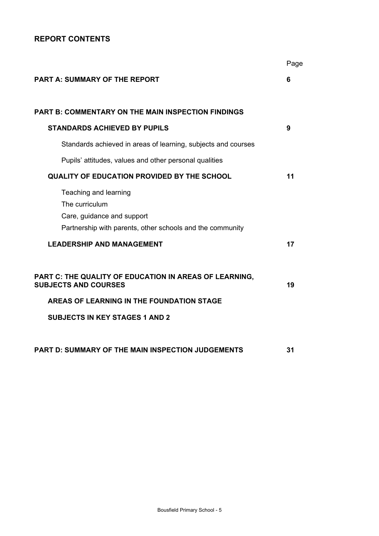# **REPORT CONTENTS**

|                                                                                                                                    | Page |
|------------------------------------------------------------------------------------------------------------------------------------|------|
| <b>PART A: SUMMARY OF THE REPORT</b>                                                                                               | 6    |
| <b>PART B: COMMENTARY ON THE MAIN INSPECTION FINDINGS</b>                                                                          |      |
| <b>STANDARDS ACHIEVED BY PUPILS</b>                                                                                                | 9    |
| Standards achieved in areas of learning, subjects and courses                                                                      |      |
| Pupils' attitudes, values and other personal qualities                                                                             |      |
| <b>QUALITY OF EDUCATION PROVIDED BY THE SCHOOL</b>                                                                                 | 11   |
| Teaching and learning<br>The curriculum<br>Care, guidance and support<br>Partnership with parents, other schools and the community |      |
| <b>LEADERSHIP AND MANAGEMENT</b>                                                                                                   | 17   |
| PART C: THE QUALITY OF EDUCATION IN AREAS OF LEARNING,<br><b>SUBJECTS AND COURSES</b>                                              | 19   |
| AREAS OF LEARNING IN THE FOUNDATION STAGE                                                                                          |      |
| <b>SUBJECTS IN KEY STAGES 1 AND 2</b>                                                                                              |      |
| <b>PART D: SUMMARY OF THE MAIN INSPECTION JUDGEMENTS</b>                                                                           | 31   |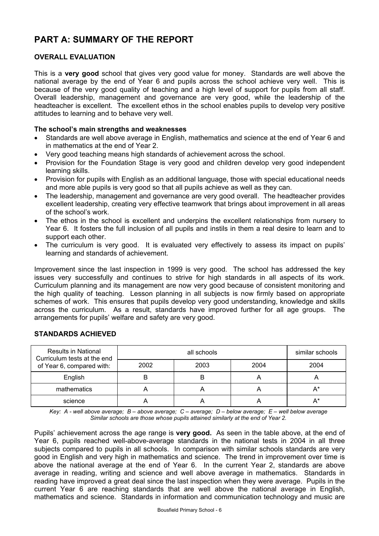# **PART A: SUMMARY OF THE REPORT**

### **OVERALL EVALUATION**

This is a **very good** school that gives very good value for money. Standards are well above the national average by the end of Year 6 and pupils across the school achieve very well. This is because of the very good quality of teaching and a high level of support for pupils from all staff. Overall leadership, management and governance are very good, while the leadership of the headteacher is excellent. The excellent ethos in the school enables pupils to develop very positive attitudes to learning and to behave very well.

#### **The school's main strengths and weaknesses**

- Standards are well above average in English, mathematics and science at the end of Year 6 and in mathematics at the end of Year 2.
- Very good teaching means high standards of achievement across the school.
- Provision for the Foundation Stage is very good and children develop very good independent learning skills.
- Provision for pupils with English as an additional language, those with special educational needs and more able pupils is very good so that all pupils achieve as well as they can.
- The leadership, management and governance are very good overall. The headteacher provides excellent leadership, creating very effective teamwork that brings about improvement in all areas of the school's work.
- The ethos in the school is excellent and underpins the excellent relationships from nursery to Year 6. It fosters the full inclusion of all pupils and instils in them a real desire to learn and to support each other.
- The curriculum is very good. It is evaluated very effectively to assess its impact on pupils' learning and standards of achievement.

Improvement since the last inspection in 1999 is very good. The school has addressed the key issues very successfully and continues to strive for high standards in all aspects of its work. Curriculum planning and its management are now very good because of consistent monitoring and the high quality of teaching. Lesson planning in all subjects is now firmly based on appropriate schemes of work. This ensures that pupils develop very good understanding, knowledge and skills across the curriculum. As a result, standards have improved further for all age groups. The arrangements for pupils' welfare and safety are very good.

| <b>Results in National</b><br>Curriculum tests at the end<br>of Year 6, compared with: |      | similar schools |      |      |
|----------------------------------------------------------------------------------------|------|-----------------|------|------|
|                                                                                        | 2002 | 2003            | 2004 | 2004 |
| English                                                                                |      | B               |      |      |
| mathematics                                                                            |      |                 |      | Δ*   |
| science                                                                                |      |                 |      | А*   |

### **STANDARDS ACHIEVED**

*Key: A - well above average; B – above average; C – average; D – below average; E – well below average Similar schools are those whose pupils attained similarly at the end of Year 2.* 

Pupils' achievement across the age range is **very good.** As seen in the table above, at the end of Year 6, pupils reached well-above-average standards in the national tests in 2004 in all three subjects compared to pupils in all schools. In comparison with similar schools standards are very good in English and very high in mathematics and science. The trend in improvement over time is above the national average at the end of Year 6. In the current Year 2, standards are above average in reading, writing and science and well above average in mathematics. Standards in reading have improved a great deal since the last inspection when they were average. Pupils in the current Year 6 are reaching standards that are well above the national average in English, mathematics and science. Standards in information and communication technology and music are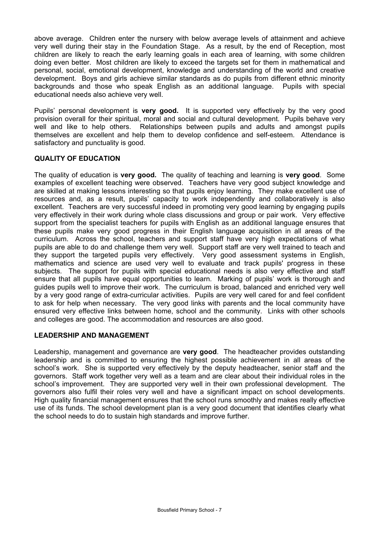above average. Children enter the nursery with below average levels of attainment and achieve very well during their stay in the Foundation Stage. As a result, by the end of Reception, most children are likely to reach the early learning goals in each area of learning, with some children doing even better. Most children are likely to exceed the targets set for them in mathematical and personal, social, emotional development, knowledge and understanding of the world and creative development. Boys and girls achieve similar standards as do pupils from different ethnic minority backgrounds and those who speak English as an additional language. Pupils with special educational needs also achieve very well.

Pupils' personal development is **very good.** It is supported very effectively by the very good provision overall for their spiritual, moral and social and cultural development. Pupils behave very well and like to help others. Relationships between pupils and adults and amongst pupils themselves are excellent and help them to develop confidence and self-esteem. Attendance is satisfactory and punctuality is good.

### **QUALITY OF EDUCATION**

The quality of education is **very good.** The quality of teaching and learning is **very good**. Some examples of excellent teaching were observed. Teachers have very good subject knowledge and are skilled at making lessons interesting so that pupils enjoy learning. They make excellent use of resources and, as a result, pupils' capacity to work independently and collaboratively is also excellent. Teachers are very successful indeed in promoting very good learning by engaging pupils very effectively in their work during whole class discussions and group or pair work. Very effective support from the specialist teachers for pupils with English as an additional language ensures that these pupils make very good progress in their English language acquisition in all areas of the curriculum. Across the school, teachers and support staff have very high expectations of what pupils are able to do and challenge them very well. Support staff are very well trained to teach and they support the targeted pupils very effectively. Very good assessment systems in English, mathematics and science are used very well to evaluate and track pupils' progress in these subjects. The support for pupils with special educational needs is also very effective and staff ensure that all pupils have equal opportunities to learn. Marking of pupils' work is thorough and guides pupils well to improve their work. The curriculum is broad, balanced and enriched very well by a very good range of extra-curricular activities. Pupils are very well cared for and feel confident to ask for help when necessary. The very good links with parents and the local community have ensured very effective links between home, school and the community. Links with other schools and colleges are good. The accommodation and resources are also good.

### **LEADERSHIP AND MANAGEMENT**

Leadership, management and governance are **very good**. The headteacher provides outstanding leadership and is committed to ensuring the highest possible achievement in all areas of the school's work. She is supported very effectively by the deputy headteacher, senior staff and the governors. Staff work together very well as a team and are clear about their individual roles in the school's improvement. They are supported very well in their own professional development. The governors also fulfil their roles very well and have a significant impact on school developments. High quality financial management ensures that the school runs smoothly and makes really effective use of its funds. The school development plan is a very good document that identifies clearly what the school needs to do to sustain high standards and improve further.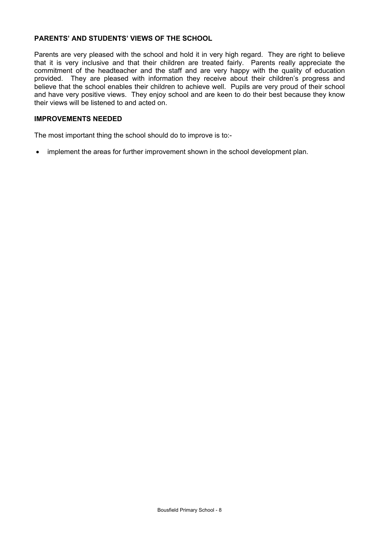### **PARENTS' AND STUDENTS' VIEWS OF THE SCHOOL**

Parents are very pleased with the school and hold it in very high regard. They are right to believe that it is very inclusive and that their children are treated fairly. Parents really appreciate the commitment of the headteacher and the staff and are very happy with the quality of education provided. They are pleased with information they receive about their children's progress and believe that the school enables their children to achieve well. Pupils are very proud of their school and have very positive views. They enjoy school and are keen to do their best because they know their views will be listened to and acted on.

#### **IMPROVEMENTS NEEDED**

The most important thing the school should do to improve is to:-

• implement the areas for further improvement shown in the school development plan.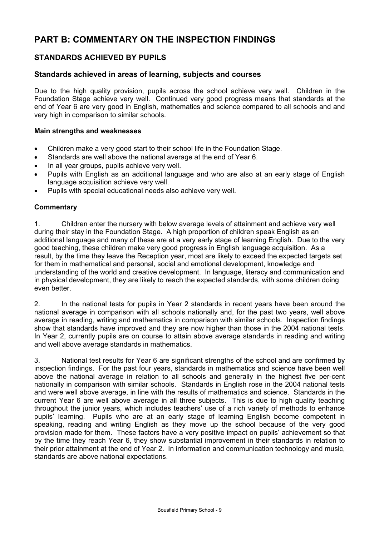# **PART B: COMMENTARY ON THE INSPECTION FINDINGS**

## **STANDARDS ACHIEVED BY PUPILS**

### **Standards achieved in areas of learning, subjects and courses**

Due to the high quality provision, pupils across the school achieve very well. Children in the Foundation Stage achieve very well. Continued very good progress means that standards at the end of Year 6 are very good in English, mathematics and science compared to all schools and and very high in comparison to similar schools.

#### **Main strengths and weaknesses**

- Children make a very good start to their school life in the Foundation Stage.
- Standards are well above the national average at the end of Year 6.
- In all year groups, pupils achieve very well.
- Pupils with English as an additional language and who are also at an early stage of English language acquisition achieve very well.
- Pupils with special educational needs also achieve very well.

### **Commentary**

1. Children enter the nursery with below average levels of attainment and achieve very well during their stay in the Foundation Stage. A high proportion of children speak English as an additional language and many of these are at a very early stage of learning English. Due to the very good teaching, these children make very good progress in English language acquisition. As a result, by the time they leave the Reception year, most are likely to exceed the expected targets set for them in mathematical and personal, social and emotional development, knowledge and understanding of the world and creative development. In language, literacy and communication and in physical development, they are likely to reach the expected standards, with some children doing even better.

2. In the national tests for pupils in Year 2 standards in recent years have been around the national average in comparison with all schools nationally and, for the past two years, well above average in reading, writing and mathematics in comparison with similar schools. Inspection findings show that standards have improved and they are now higher than those in the 2004 national tests. In Year 2, currently pupils are on course to attain above average standards in reading and writing and well above average standards in mathematics.

3. National test results for Year 6 are significant strengths of the school and are confirmed by inspection findings. For the past four years, standards in mathematics and science have been well above the national average in relation to all schools and generally in the highest five per-cent nationally in comparison with similar schools. Standards in English rose in the 2004 national tests and were well above average, in line with the results of mathematics and science. Standards in the current Year 6 are well above average in all three subjects. This is due to high quality teaching throughout the junior years, which includes teachers' use of a rich variety of methods to enhance pupils' learning. Pupils who are at an early stage of learning English become competent in speaking, reading and writing English as they move up the school because of the very good provision made for them. These factors have a very positive impact on pupils' achievement so that by the time they reach Year 6, they show substantial improvement in their standards in relation to their prior attainment at the end of Year 2. In information and communication technology and music, standards are above national expectations.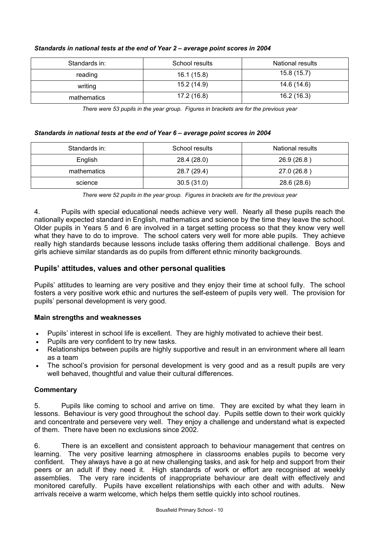| Standards in: | School results | National results |
|---------------|----------------|------------------|
| reading       | 16.1 (15.8)    | 15.8(15.7)       |
| writing       | 15.2 (14.9)    | 14.6 (14.6)      |
| mathematics   | 17.2 (16.8)    | 16.2 (16.3)      |

### *Standards in national tests at the end of Year 2 – average point scores in 2004*

*There were 53 pupils in the year group. Figures in brackets are for the previous year* 

#### *Standards in national tests at the end of Year 6 – average point scores in 2004*

| Standards in: | School results | National results |
|---------------|----------------|------------------|
| English       | 28.4 (28.0)    | 26.9 (26.8)      |
| mathematics   | 28.7 (29.4)    | 27.0 (26.8)      |
| science       | 30.5(31.0)     | 28.6 (28.6)      |

*There were 52 pupils in the year group. Figures in brackets are for the previous year* 

4. Pupils with special educational needs achieve very well. Nearly all these pupils reach the nationally expected standard in English, mathematics and science by the time they leave the school. Older pupils in Years 5 and 6 are involved in a target setting process so that they know very well what they have to do to improve. The school caters very well for more able pupils. They achieve really high standards because lessons include tasks offering them additional challenge. Boys and girls achieve similar standards as do pupils from different ethnic minority backgrounds.

### **Pupils' attitudes, values and other personal qualities**

Pupils' attitudes to learning are very positive and they enjoy their time at school fully. The school fosters a very positive work ethic and nurtures the self-esteem of pupils very well. The provision for pupils' personal development is very good.

### **Main strengths and weaknesses**

- Pupils' interest in school life is excellent. They are highly motivated to achieve their best.
- Pupils are very confident to try new tasks.
- Relationships between pupils are highly supportive and result in an environment where all learn as a team
- The school's provision for personal development is very good and as a result pupils are very well behaved, thoughtful and value their cultural differences.

### **Commentary**

5. Pupils like coming to school and arrive on time. They are excited by what they learn in lessons. Behaviour is very good throughout the school day. Pupils settle down to their work quickly and concentrate and persevere very well. They enjoy a challenge and understand what is expected of them. There have been no exclusions since 2002.

6. There is an excellent and consistent approach to behaviour management that centres on learning. The very positive learning atmosphere in classrooms enables pupils to become verv confident. They always have a go at new challenging tasks, and ask for help and support from their peers or an adult if they need it. High standards of work or effort are recognised at weekly assemblies. The very rare incidents of inappropriate behaviour are dealt with effectively and monitored carefully. Pupils have excellent relationships with each other and with adults. New arrivals receive a warm welcome, which helps them settle quickly into school routines.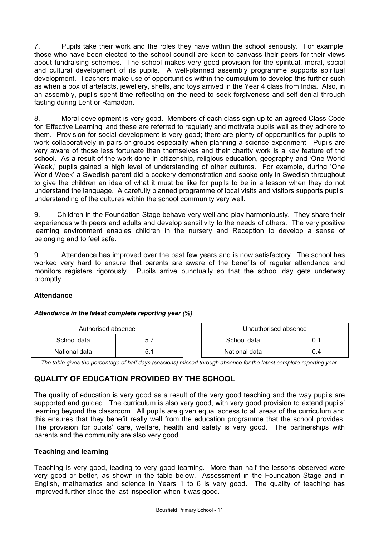7. Pupils take their work and the roles they have within the school seriously. For example, those who have been elected to the school council are keen to canvass their peers for their views about fundraising schemes. The school makes very good provision for the spiritual, moral, social and cultural development of its pupils. A well-planned assembly programme supports spiritual development. Teachers make use of opportunities within the curriculum to develop this further such as when a box of artefacts, jewellery, shells, and toys arrived in the Year 4 class from India. Also, in an assembly, pupils spent time reflecting on the need to seek forgiveness and self-denial through fasting during Lent or Ramadan.

8. Moral development is very good. Members of each class sign up to an agreed Class Code for 'Effective Learning' and these are referred to regularly and motivate pupils well as they adhere to them. Provision for social development is very good; there are plenty of opportunities for pupils to work collaboratively in pairs or groups especially when planning a science experiment. Pupils are very aware of those less fortunate than themselves and their charity work is a key feature of the school. As a result of the work done in citizenship, religious education, geography and 'One World Week,' pupils gained a high level of understanding of other cultures. For example, during 'One World Week' a Swedish parent did a cookery demonstration and spoke only in Swedish throughout to give the children an idea of what it must be like for pupils to be in a lesson when they do not understand the language. A carefully planned programme of local visits and visitors supports pupils' understanding of the cultures within the school community very well.

9. Children in the Foundation Stage behave very well and play harmoniously. They share their experiences with peers and adults and develop sensitivity to the needs of others. The very positive learning environment enables children in the nursery and Reception to develop a sense of belonging and to feel safe.

9. Attendance has improved over the past few years and is now satisfactory. The school has worked very hard to ensure that parents are aware of the benefits of regular attendance and monitors registers rigorously. Pupils arrive punctually so that the school day gets underway promptly.

### **Attendance**

#### *Attendance in the latest complete reporting year (%)*

| Authorised absence |  | Unauthorised absence |     |
|--------------------|--|----------------------|-----|
| School data        |  | School data          |     |
| National data      |  | National data        | J.4 |

*The table gives the percentage of half days (sessions) missed through absence for the latest complete reporting year.*

# **QUALITY OF EDUCATION PROVIDED BY THE SCHOOL**

The quality of education is very good as a result of the very good teaching and the way pupils are supported and guided. The curriculum is also very good, with very good provision to extend pupils' learning beyond the classroom. All pupils are given equal access to all areas of the curriculum and this ensures that they benefit really well from the education programme that the school provides. The provision for pupils' care, welfare, health and safety is very good. The partnerships with parents and the community are also very good.

### **Teaching and learning**

Teaching is very good, leading to very good learning. More than half the lessons observed were very good or better, as shown in the table below. Assessment in the Foundation Stage and in English, mathematics and science in Years 1 to 6 is very good. The quality of teaching has improved further since the last inspection when it was good.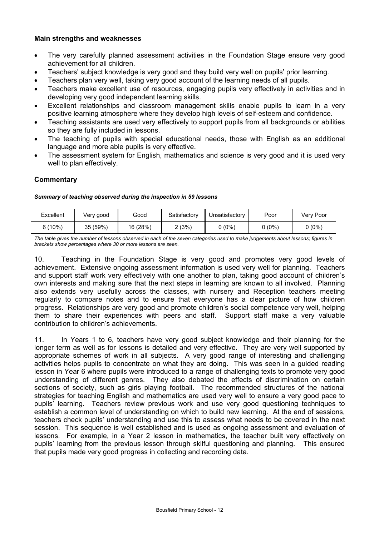### **Main strengths and weaknesses**

- The very carefully planned assessment activities in the Foundation Stage ensure very good achievement for all children.
- Teachers' subject knowledge is very good and they build very well on pupils' prior learning.
- Teachers plan very well, taking very good account of the learning needs of all pupils.
- Teachers make excellent use of resources, engaging pupils very effectively in activities and in developing very good independent learning skills.
- Excellent relationships and classroom management skills enable pupils to learn in a very positive learning atmosphere where they develop high levels of self-esteem and confidence.
- Teaching assistants are used very effectively to support pupils from all backgrounds or abilities so they are fully included in lessons.
- The teaching of pupils with special educational needs, those with English as an additional language and more able pupils is very effective.
- The assessment system for English, mathematics and science is very good and it is used very well to plan effectively.

#### **Commentary**

#### *Summary of teaching observed during the inspection in 59 lessons*

| Excellent | Very good | Good     | Satisfactory | Unsatisfactory | Poor   | Very Poor |
|-----------|-----------|----------|--------------|----------------|--------|-----------|
| $5(10\%)$ | 35 (59%)  | 16 (28%) | (3%)         | $0(0\%)$       | 0 (0%) | $0(0\%)$  |

*The table gives the number of lessons observed in each of the seven categories used to make judgements about lessons; figures in brackets show percentages where 30 or more lessons are seen.* 

10. Teaching in the Foundation Stage is very good and promotes very good levels of achievement. Extensive ongoing assessment information is used very well for planning. Teachers and support staff work very effectively with one another to plan, taking good account of children's own interests and making sure that the next steps in learning are known to all involved. Planning also extends very usefully across the classes, with nursery and Reception teachers meeting regularly to compare notes and to ensure that everyone has a clear picture of how children progress. Relationships are very good and promote children's social competence very well, helping them to share their experiences with peers and staff. Support staff make a very valuable contribution to children's achievements.

11. In Years 1 to 6, teachers have very good subject knowledge and their planning for the longer term as well as for lessons is detailed and very effective. They are very well supported by appropriate schemes of work in all subjects. A very good range of interesting and challenging activities helps pupils to concentrate on what they are doing. This was seen in a guided reading lesson in Year 6 where pupils were introduced to a range of challenging texts to promote very good understanding of different genres. They also debated the effects of discrimination on certain sections of society, such as girls playing football. The recommended structures of the national strategies for teaching English and mathematics are used very well to ensure a very good pace to pupils' learning. Teachers review previous work and use very good questioning techniques to establish a common level of understanding on which to build new learning. At the end of sessions, teachers check pupils' understanding and use this to assess what needs to be covered in the next session. This sequence is well established and is used as ongoing assessment and evaluation of lessons. For example, in a Year 2 lesson in mathematics, the teacher built very effectively on pupils' learning from the previous lesson through skilful questioning and planning. This ensured that pupils made very good progress in collecting and recording data.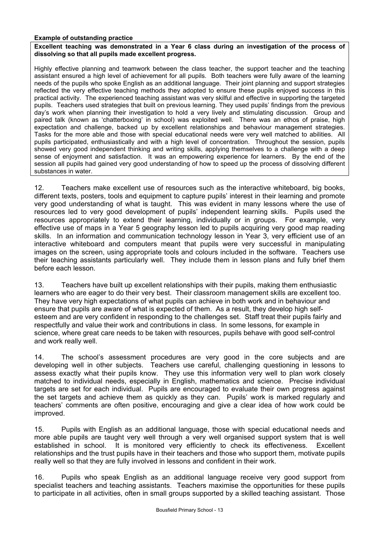#### **Example of outstanding practice**

#### **Excellent teaching was demonstrated in a Year 6 class during an investigation of the process of dissolving so that all pupils made excellent progress.**

Highly effective planning and teamwork between the class teacher, the support teacher and the teaching assistant ensured a high level of achievement for all pupils. Both teachers were fully aware of the learning needs of the pupils who spoke English as an additional language. Their joint planning and support strategies reflected the very effective teaching methods they adopted to ensure these pupils enjoyed success in this practical activity. The experienced teaching assistant was very skilful and effective in supporting the targeted pupils. Teachers used strategies that built on previous learning. They used pupils' findings from the previous day's work when planning their investigation to hold a very lively and stimulating discussion. Group and paired talk (known as 'chatterboxing' in school) was exploited well. There was an ethos of praise, high expectation and challenge, backed up by excellent relationships and behaviour management strategies. Tasks for the more able and those with special educational needs were very well matched to abilities. All pupils participated, enthusiastically and with a high level of concentration. Throughout the session, pupils showed very good independent thinking and writing skills, applying themselves to a challenge with a deep sense of enjoyment and satisfaction. It was an empowering experience for learners. By the end of the session all pupils had gained very good understanding of how to speed up the process of dissolving different substances in water.

12. Teachers make excellent use of resources such as the interactive whiteboard, big books, different texts, posters, tools and equipment to capture pupils' interest in their learning and promote very good understanding of what is taught. This was evident in many lessons where the use of resources led to very good development of pupils' independent learning skills. Pupils used the resources appropriately to extend their learning, individually or in groups. For example, very effective use of maps in a Year 5 geography lesson led to pupils acquiring very good map reading skills. In an information and communication technology lesson in Year 3, very efficient use of an interactive whiteboard and computers meant that pupils were very successful in manipulating images on the screen, using appropriate tools and colours included in the software. Teachers use their teaching assistants particularly well. They include them in lesson plans and fully brief them before each lesson.

13. Teachers have built up excellent relationships with their pupils, making them enthusiastic learners who are eager to do their very best. Their classroom management skills are excellent too. They have very high expectations of what pupils can achieve in both work and in behaviour and ensure that pupils are aware of what is expected of them. As a result, they develop high selfesteem and are very confident in responding to the challenges set. Staff treat their pupils fairly and respectfully and value their work and contributions in class. In some lessons, for example in science, where great care needs to be taken with resources, pupils behave with good self-control and work really well.

14. The school's assessment procedures are very good in the core subjects and are developing well in other subjects. Teachers use careful, challenging questioning in lessons to assess exactly what their pupils know. They use this information very well to plan work closely matched to individual needs, especially in English, mathematics and science. Precise individual targets are set for each individual. Pupils are encouraged to evaluate their own progress against the set targets and achieve them as quickly as they can. Pupils' work is marked regularly and teachers' comments are often positive, encouraging and give a clear idea of how work could be improved.

15. Pupils with English as an additional language, those with special educational needs and more able pupils are taught very well through a very well organised support system that is well established in school. It is monitored very efficiently to check its effectiveness. Excellent relationships and the trust pupils have in their teachers and those who support them, motivate pupils really well so that they are fully involved in lessons and confident in their work.

16. Pupils who speak English as an additional language receive very good support from specialist teachers and teaching assistants. Teachers maximise the opportunities for these pupils to participate in all activities, often in small groups supported by a skilled teaching assistant. Those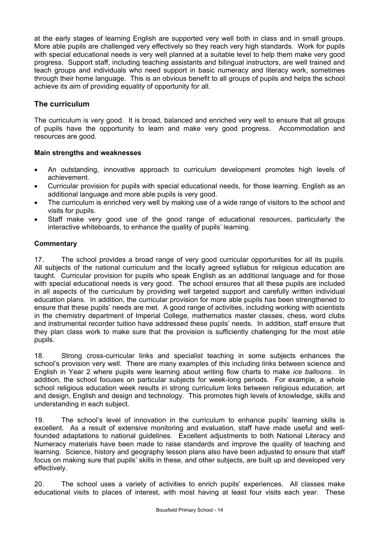at the early stages of learning English are supported very well both in class and in small groups. More able pupils are challenged very effectively so they reach very high standards. Work for pupils with special educational needs is very well planned at a suitable level to help them make very good progress. Support staff, including teaching assistants and bilingual instructors, are well trained and teach groups and individuals who need support in basic numeracy and literacy work, sometimes through their home language. This is an obvious benefit to all groups of pupils and helps the school achieve its aim of providing equality of opportunity for all.

### **The curriculum**

The curriculum is very good. It is broad, balanced and enriched very well to ensure that all groups of pupils have the opportunity to learn and make very good progress. Accommodation and resources are good.

### **Main strengths and weaknesses**

- An outstanding, innovative approach to curriculum development promotes high levels of achievement.
- Curricular provision for pupils with special educational needs, for those learning. English as an additional language and more able pupils is very good.
- The curriculum is enriched very well by making use of a wide range of visitors to the school and visits for pupils.
- Staff make very good use of the good range of educational resources, particularly the interactive whiteboards, to enhance the quality of pupils' learning.

### **Commentary**

17. The school provides a broad range of very good curricular opportunities for all its pupils. All subjects of the national curriculum and the locally agreed syllabus for religious education are taught. Curricular provision for pupils who speak English as an additional language and for those with special educational needs is very good. The school ensures that all these pupils are included in all aspects of the curriculum by providing well targeted support and carefully written individual education plans. In addition, the curricular provision for more able pupils has been strengthened to ensure that these pupils' needs are met. A good range of activities, including working with scientists in the chemistry department of Imperial College, mathematics master classes, chess, word clubs and instrumental recorder tuition have addressed these pupils' needs. In addition, staff ensure that they plan class work to make sure that the provision is sufficiently challenging for the most able pupils.

18. Strong cross-curricular links and specialist teaching in some subjects enhances the school's provision very well. There are many examples of this including links between science and English in Year 2 where pupils were learning about writing flow charts to make *ice balloons*. In addition, the school focuses on particular subjects for week-long periods. For example, a whole school religious education week results in strong curriculum links between religious education, art and design, English and design and technology. This promotes high levels of knowledge, skills and understanding in each subject.

19. The school's level of innovation in the curriculum to enhance pupils' learning skills is excellent. As a result of extensive monitoring and evaluation, staff have made useful and wellfounded adaptations to national guidelines. Excellent adjustments to both National Literacy and Numeracy materials have been made to raise standards and improve the quality of teaching and learning. Science, history and geography lesson plans also have been adjusted to ensure that staff focus on making sure that pupils' skills in these, and other subjects, are built up and developed very effectively.

20. The school uses a variety of activities to enrich pupils' experiences. All classes make educational visits to places of interest, with most having at least four visits each year. These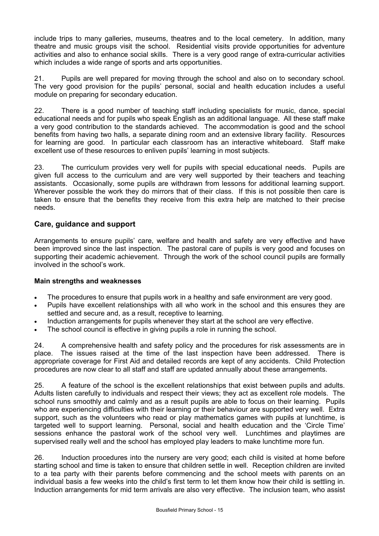include trips to many galleries, museums, theatres and to the local cemetery. In addition, many theatre and music groups visit the school. Residential visits provide opportunities for adventure activities and also to enhance social skills. There is a very good range of extra-curricular activities which includes a wide range of sports and arts opportunities.

21. Pupils are well prepared for moving through the school and also on to secondary school. The very good provision for the pupils' personal, social and health education includes a useful module on preparing for secondary education.

22. There is a good number of teaching staff including specialists for music, dance, special educational needs and for pupils who speak English as an additional language. All these staff make a very good contribution to the standards achieved. The accommodation is good and the school benefits from having two halls, a separate dining room and an extensive library facility. Resources for learning are good. In particular each classroom has an interactive whiteboard. Staff make excellent use of these resources to enliven pupils' learning in most subjects.

23. The curriculum provides very well for pupils with special educational needs. Pupils are given full access to the curriculum and are very well supported by their teachers and teaching assistants. Occasionally, some pupils are withdrawn from lessons for additional learning support. Wherever possible the work they do mirrors that of their class. If this is not possible then care is taken to ensure that the benefits they receive from this extra help are matched to their precise needs.

### **Care, guidance and support**

Arrangements to ensure pupils' care, welfare and health and safety are very effective and have been improved since the last inspection. The pastoral care of pupils is very good and focuses on supporting their academic achievement. Through the work of the school council pupils are formally involved in the school's work.

### **Main strengths and weaknesses**

- The procedures to ensure that pupils work in a healthy and safe environment are very good.
- Pupils have excellent relationships with all who work in the school and this ensures they are settled and secure and, as a result, receptive to learning.
- Induction arrangements for pupils whenever they start at the school are very effective.
- The school council is effective in giving pupils a role in running the school.

24. A comprehensive health and safety policy and the procedures for risk assessments are in place. The issues raised at the time of the last inspection have been addressed. There is appropriate coverage for First Aid and detailed records are kept of any accidents. Child Protection procedures are now clear to all staff and staff are updated annually about these arrangements.

25. A feature of the school is the excellent relationships that exist between pupils and adults. Adults listen carefully to individuals and respect their views; they act as excellent role models. The school runs smoothly and calmly and as a result pupils are able to focus on their learning. Pupils who are experiencing difficulties with their learning or their behaviour are supported very well. Extra support, such as the volunteers who read or play mathematics games with pupils at lunchtime, is targeted well to support learning. Personal, social and health education and the 'Circle Time' sessions enhance the pastoral work of the school very well. Lunchtimes and playtimes are supervised really well and the school has employed play leaders to make lunchtime more fun.

26. Induction procedures into the nursery are very good; each child is visited at home before starting school and time is taken to ensure that children settle in well. Reception children are invited to a tea party with their parents before commencing and the school meets with parents on an individual basis a few weeks into the child's first term to let them know how their child is settling in. Induction arrangements for mid term arrivals are also very effective. The inclusion team, who assist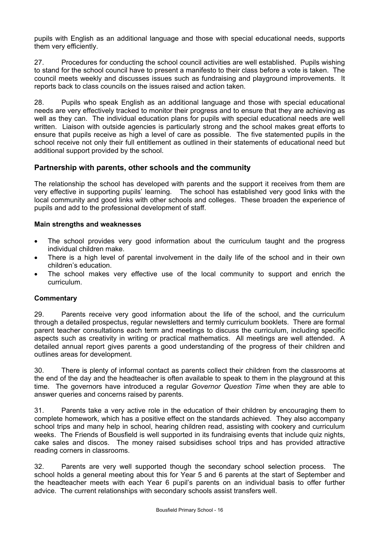pupils with English as an additional language and those with special educational needs, supports them very efficiently.

27. Procedures for conducting the school council activities are well established. Pupils wishing to stand for the school council have to present a manifesto to their class before a vote is taken. The council meets weekly and discusses issues such as fundraising and playground improvements. It reports back to class councils on the issues raised and action taken.

28. Pupils who speak English as an additional language and those with special educational needs are very effectively tracked to monitor their progress and to ensure that they are achieving as well as they can. The individual education plans for pupils with special educational needs are well written. Liaison with outside agencies is particularly strong and the school makes great efforts to ensure that pupils receive as high a level of care as possible. The five statemented pupils in the school receive not only their full entitlement as outlined in their statements of educational need but additional support provided by the school.

### **Partnership with parents, other schools and the community**

The relationship the school has developed with parents and the support it receives from them are very effective in supporting pupils' learning. The school has established very good links with the local community and good links with other schools and colleges. These broaden the experience of pupils and add to the professional development of staff.

### **Main strengths and weaknesses**

- The school provides very good information about the curriculum taught and the progress individual children make.
- There is a high level of parental involvement in the daily life of the school and in their own children's education.
- The school makes very effective use of the local community to support and enrich the curriculum.

### **Commentary**

29. Parents receive very good information about the life of the school, and the curriculum through a detailed prospectus, regular newsletters and termly curriculum booklets. There are formal parent teacher consultations each term and meetings to discuss the curriculum, including specific aspects such as creativity in writing or practical mathematics. All meetings are well attended. A detailed annual report gives parents a good understanding of the progress of their children and outlines areas for development*.* 

30. There is plenty of informal contact as parents collect their children from the classrooms at the end of the day and the headteacher is often available to speak to them in the playground at this time. The governors have introduced a regular *Governor Question Time* when they are able to answer queries and concerns raised by parents.

31. Parents take a very active role in the education of their children by encouraging them to complete homework, which has a positive effect on the standards achieved. They also accompany school trips and many help in school, hearing children read, assisting with cookery and curriculum weeks. The Friends of Bousfield is well supported in its fundraising events that include quiz nights, cake sales and discos. The money raised subsidises school trips and has provided attractive reading corners in classrooms.

32. Parents are very well supported though the secondary school selection process. The school holds a general meeting about this for Year 5 and 6 parents at the start of September and the headteacher meets with each Year 6 pupil's parents on an individual basis to offer further advice. The current relationships with secondary schools assist transfers well.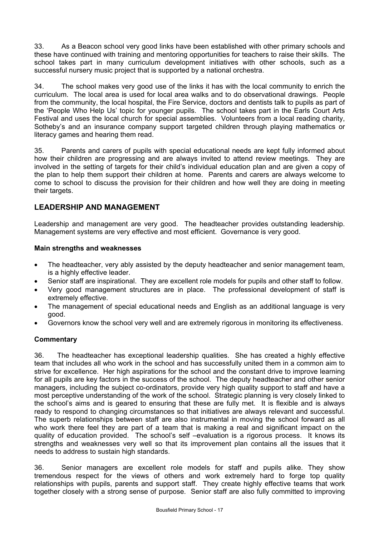33. As a Beacon school very good links have been established with other primary schools and these have continued with training and mentoring opportunities for teachers to raise their skills. The school takes part in many curriculum development initiatives with other schools, such as a successful nursery music project that is supported by a national orchestra.

34. The school makes very good use of the links it has with the local community to enrich the curriculum. The local area is used for local area walks and to do observational drawings. People from the community, the local hospital, the Fire Service, doctors and dentists talk to pupils as part of the 'People Who Help Us' topic for younger pupils. The school takes part in the Earls Court Arts Festival and uses the local church for special assemblies. Volunteers from a local reading charity, Sotheby's and an insurance company support targeted children through playing mathematics or literacy games and hearing them read.

35. Parents and carers of pupils with special educational needs are kept fully informed about how their children are progressing and are always invited to attend review meetings. They are involved in the setting of targets for their child's individual education plan and are given a copy of the plan to help them support their children at home. Parents and carers are always welcome to come to school to discuss the provision for their children and how well they are doing in meeting their targets.

### **LEADERSHIP AND MANAGEMENT**

Leadership and management are very good. The headteacher provides outstanding leadership. Management systems are very effective and most efficient. Governance is very good.

### **Main strengths and weaknesses**

- The headteacher, very ably assisted by the deputy headteacher and senior management team, is a highly effective leader.
- Senior staff are inspirational. They are excellent role models for pupils and other staff to follow.
- Very good management structures are in place. The professional development of staff is extremely effective.
- The management of special educational needs and English as an additional language is very good.
- Governors know the school very well and are extremely rigorous in monitoring its effectiveness.

### **Commentary**

36. The headteacher has exceptional leadership qualities. She has created a highly effective team that includes all who work in the school and has successfully united them in a common aim to strive for excellence. Her high aspirations for the school and the constant drive to improve learning for all pupils are key factors in the success of the school. The deputy headteacher and other senior managers, including the subject co-ordinators, provide very high quality support to staff and have a most perceptive understanding of the work of the school. Strategic planning is very closely linked to the school's aims and is geared to ensuring that these are fully met. It is flexible and is always ready to respond to changing circumstances so that initiatives are always relevant and successful. The superb relationships between staff are also instrumental in moving the school forward as all who work there feel they are part of a team that is making a real and significant impact on the quality of education provided. The school's self –evaluation is a rigorous process. It knows its strengths and weaknesses very well so that its improvement plan contains all the issues that it needs to address to sustain high standards.

36. Senior managers are excellent role models for staff and pupils alike. They show tremendous respect for the views of others and work extremely hard to forge top quality relationships with pupils, parents and support staff. They create highly effective teams that work together closely with a strong sense of purpose. Senior staff are also fully committed to improving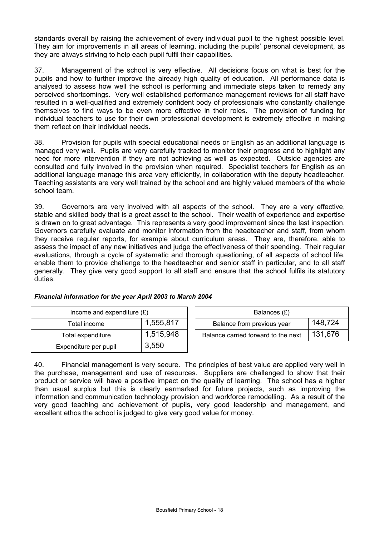standards overall by raising the achievement of every individual pupil to the highest possible level. They aim for improvements in all areas of learning, including the pupils' personal development, as they are always striving to help each pupil fulfil their capabilities.

37. Management of the school is very effective. All decisions focus on what is best for the pupils and how to further improve the already high quality of education. All performance data is analysed to assess how well the school is performing and immediate steps taken to remedy any perceived shortcomings. Very well established performance management reviews for all staff have resulted in a well-qualified and extremely confident body of professionals who constantly challenge themselves to find ways to be even more effective in their roles. The provision of funding for individual teachers to use for their own professional development is extremely effective in making them reflect on their individual needs.

38. Provision for pupils with special educational needs or English as an additional language is managed very well. Pupils are very carefully tracked to monitor their progress and to highlight any need for more intervention if they are not achieving as well as expected. Outside agencies are consulted and fully involved in the provision when required. Specialist teachers for English as an additional language manage this area very efficiently, in collaboration with the deputy headteacher. Teaching assistants are very well trained by the school and are highly valued members of the whole school team.

39. Governors are very involved with all aspects of the school. They are a very effective, stable and skilled body that is a great asset to the school. Their wealth of experience and expertise is drawn on to great advantage. This represents a very good improvement since the last inspection. Governors carefully evaluate and monitor information from the headteacher and staff, from whom they receive regular reports, for example about curriculum areas. They are, therefore, able to assess the impact of any new initiatives and judge the effectiveness of their spending. Their regular evaluations, through a cycle of systematic and thorough questioning, of all aspects of school life, enable them to provide challenge to the headteacher and senior staff in particular, and to all staff generally. They give very good support to all staff and ensure that the school fulfils its statutory duties.

| Income and expenditure $(E)$ |  |           | Balances $(E)$                   |
|------------------------------|--|-----------|----------------------------------|
| Total income                 |  | 1,555,817 | Balance from previous year       |
| Total expenditure            |  | 1,515,948 | Balance carried forward to the r |
| Expenditure per pupil        |  | 3.550     |                                  |

### *Financial information for the year April 2003 to March 2004*

| Income and expenditure $(E)$ |           |                            | Balances (£)                        |         |
|------------------------------|-----------|----------------------------|-------------------------------------|---------|
| Total income                 | 1,555,817 | Balance from previous year |                                     | 148,724 |
| Total expenditure            | 1,515,948 |                            | Balance carried forward to the next | 131,676 |
|                              |           |                            |                                     |         |

40. Financial management is very secure. The principles of best value are applied very well in the purchase, management and use of resources. Suppliers are challenged to show that their product or service will have a positive impact on the quality of learning. The school has a higher than usual surplus but this is clearly earmarked for future projects, such as improving the information and communication technology provision and workforce remodelling. As a result of the very good teaching and achievement of pupils, very good leadership and management, and excellent ethos the school is judged to give very good value for money.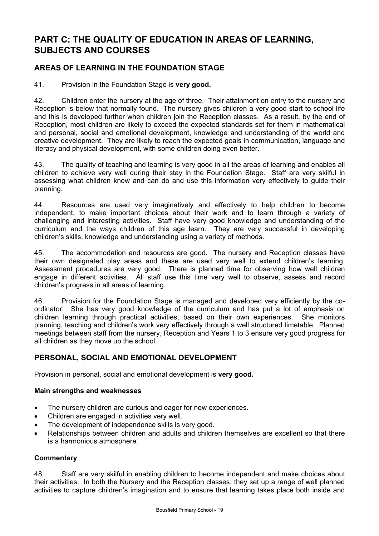# **PART C: THE QUALITY OF EDUCATION IN AREAS OF LEARNING, SUBJECTS AND COURSES**

## **AREAS OF LEARNING IN THE FOUNDATION STAGE**

41. Provision in the Foundation Stage is **very good.** 

42. Children enter the nursery at the age of three. Their attainment on entry to the nursery and Reception is below that normally found. The nursery gives children a very good start to school life and this is developed further when children join the Reception classes. As a result, by the end of Reception, most children are likely to exceed the expected standards set for them in mathematical and personal, social and emotional development, knowledge and understanding of the world and creative development. They are likely to reach the expected goals in communication, language and literacy and physical development, with some children doing even better.

43. The quality of teaching and learning is very good in all the areas of learning and enables all children to achieve very well during their stay in the Foundation Stage. Staff are very skilful in assessing what children know and can do and use this information very effectively to guide their planning.

44. Resources are used very imaginatively and effectively to help children to become independent, to make important choices about their work and to learn through a variety of challenging and interesting activities. Staff have very good knowledge and understanding of the curriculum and the ways children of this age learn. They are very successful in developing children's skills, knowledge and understanding using a variety of methods.

45. The accommodation and resources are good. The nursery and Reception classes have their own designated play areas and these are used very well to extend children's learning. Assessment procedures are very good. There is planned time for observing how well children engage in different activities. All staff use this time very well to observe, assess and record children's progress in all areas of learning.

46. Provision for the Foundation Stage is managed and developed very efficiently by the coordinator. She has very good knowledge of the curriculum and has put a lot of emphasis on children learning through practical activities, based on their own experiences. She monitors planning, teaching and children's work very effectively through a well structured timetable. Planned meetings between staff from the nursery, Reception and Years 1 to 3 ensure very good progress for all children as they move up the school.

### **PERSONAL, SOCIAL AND EMOTIONAL DEVELOPMENT**

Provision in personal, social and emotional development is **very good.** 

### **Main strengths and weaknesses**

- The nursery children are curious and eager for new experiences.
- Children are engaged in activities very well.
- The development of independence skills is very good.
- Relationships between children and adults and children themselves are excellent so that there is a harmonious atmosphere.

### **Commentary**

48. Staff are very skilful in enabling children to become independent and make choices about their activities. In both the Nursery and the Reception classes, they set up a range of well planned activities to capture children's imagination and to ensure that learning takes place both inside and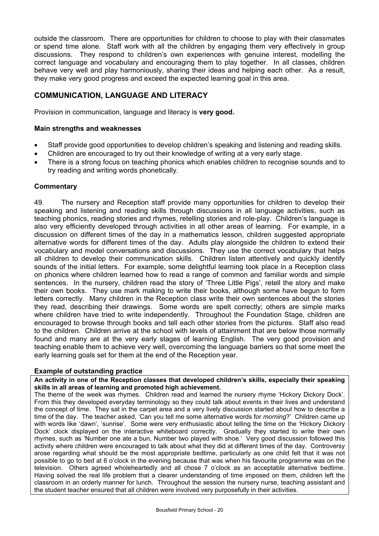outside the classroom. There are opportunities for children to choose to play with their classmates or spend time alone. Staff work with all the children by engaging them very effectively in group discussions. They respond to children's own experiences with genuine interest, modelling the correct language and vocabulary and encouraging them to play together. In all classes, children behave very well and play harmoniously, sharing their ideas and helping each other. As a result, they make very good progress and exceed the expected learning goal in this area.

## **COMMUNICATION, LANGUAGE AND LITERACY**

Provision in communication, language and literacy is **very good.** 

#### **Main strengths and weaknesses**

- Staff provide good opportunities to develop children's speaking and listening and reading skills.
- Children are encouraged to try out their knowledge of writing at a very early stage.
- There is a strong focus on teaching phonics which enables children to recognise sounds and to try reading and writing words phonetically.

### **Commentary**

49. The nursery and Reception staff provide many opportunities for children to develop their speaking and listening and reading skills through discussions in all language activities, such as teaching phonics, reading stories and rhymes, retelling stories and role-play. Children's language is also very efficiently developed through activities in all other areas of learning. For example, in a discussion on different times of the day in a mathematics lesson, children suggested appropriate alternative words for different times of the day. Adults play alongside the children to extend their vocabulary and model conversations and discussions. They use the correct vocabulary that helps all children to develop their communication skills. Children listen attentively and quickly identify sounds of the initial letters. For example, some delightful learning took place in a Reception class on phonics where children learned how to read a range of common and familiar words and simple sentences. In the nursery, children read the story of 'Three Little Pigs', retell the story and make their own books. They use mark making to write their books, although some have begun to form letters correctly. Many children in the Reception class write their own sentences about the stories they read, describing their drawings. Some words are spelt correctly; others are simple marks where children have tried to write independently. Throughout the Foundation Stage, children are encouraged to browse through books and tell each other stories from the pictures. Staff also read to the children. Children arrive at the school with levels of attainment that are below those normally found and many are at the very early stages of learning English. The very good provision and teaching enable them to achieve very well, overcoming the language barriers so that some meet the early learning goals set for them at the end of the Reception year.

#### **Example of outstanding practice**

**An activity in one of the Reception classes that developed children's skills, especially their speaking skills in all areas of learning and promoted high achievement.** 

The theme of the week was rhymes. Children read and learned the nursery rhyme 'Hickory Dickory Dock'. From this they developed everyday terminology so they could talk about events in their lives and understand the concept of time. They sat in the carpet area and a very lively discussion started about how to describe a time of the day. The teacher asked, 'Can you tell me some alternative words for *morning*?' Children came up with words like 'dawn', 'sunrise'. Some were very enthusiastic about telling the time on the 'Hickory Dickory Dock' clock displayed on the interactive whiteboard correctly. Gradually they started to write their own rhymes, such as 'Number one ate a bun, Number two played with shoe.' Very good discussion followed this activity where children were encouraged to talk about what they did at different times of the day. Controversy arose regarding what should be the most appropriate bedtime, particularly as one child felt that it was not possible to go to bed at 6 o'clock in the evening because that was when his favourite programme was on the television. Others agreed wholeheartedly and all chose 7 o'clock as an acceptable alternative bedtime. Having solved the real life problem that a clearer understanding of time imposed on them, children left the classroom in an orderly manner for lunch. Throughout the session the nursery nurse, teaching assistant and the student teacher ensured that all children were involved very purposefully in their activities.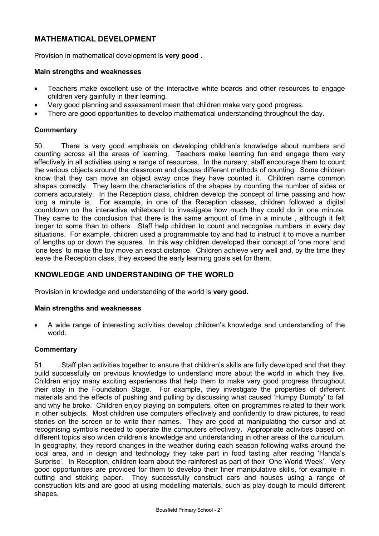## **MATHEMATICAL DEVELOPMENT**

Provision in mathematical development is **very good .** 

### **Main strengths and weaknesses**

- Teachers make excellent use of the interactive white boards and other resources to engage children very gainfully in their learning.
- Very good planning and assessment mean that children make very good progress.
- There are good opportunities to develop mathematical understanding throughout the day.

### **Commentary**

50. There is very good emphasis on developing children's knowledge about numbers and counting across all the areas of learning. Teachers make learning fun and engage them very effectively in all activities using a range of resources. In the nursery, staff encourage them to count the various objects around the classroom and discuss different methods of counting. Some children know that they can move an object away once they have counted it. Children name common shapes correctly. They learn the characteristics of the shapes by counting the number of sides or corners accurately. In the Reception class, children develop the concept of time passing and how long a minute is. For example, in one of the Reception classes, children followed a digital countdown on the interactive whiteboard to investigate how much they could do in one minute. They came to the conclusion that there is the same amount of time in a minute , although it felt longer to some than to others. Staff help children to count and recognise numbers in every day situations. For example, children used a programmable toy and had to instruct it to move a number of lengths up or down the squares. In this way children developed their concept of 'one more' and 'one less' to make the toy move an exact distance. Children achieve very well and, by the time they leave the Reception class, they exceed the early learning goals set for them.

### **KNOWLEDGE AND UNDERSTANDING OF THE WORLD**

Provision in knowledge and understanding of the world is **very good.** 

### **Main strengths and weaknesses**

• A wide range of interesting activities develop children's knowledge and understanding of the world.

### **Commentary**

51. Staff plan activities together to ensure that children's skills are fully developed and that they build successfully on previous knowledge to understand more about the world in which they live. Children enjoy many exciting experiences that help them to make very good progress throughout their stay in the Foundation Stage. For example, they investigate the properties of different materials and the effects of pushing and pulling by discussing what caused 'Humpy Dumpty' to fall and why he broke. Children enjoy playing on computers, often on programmes related to their work in other subjects. Most children use computers effectively and confidently to draw pictures, to read stories on the screen or to write their names. They are good at manipulating the cursor and at recognising symbols needed to operate the computers effectively. Appropriate activities based on different topics also widen children's knowledge and understanding in other areas of the curriculum. In geography, they record changes in the weather during each season following walks around the local area, and in design and technology they take part in food tasting after reading 'Handa's Surprise'. In Reception, children learn about the rainforest as part of their 'One World Week'. Very good opportunities are provided for them to develop their finer manipulative skills, for example in cutting and sticking paper. They successfully construct cars and houses using a range of construction kits and are good at using modelling materials, such as play dough to mould different shapes.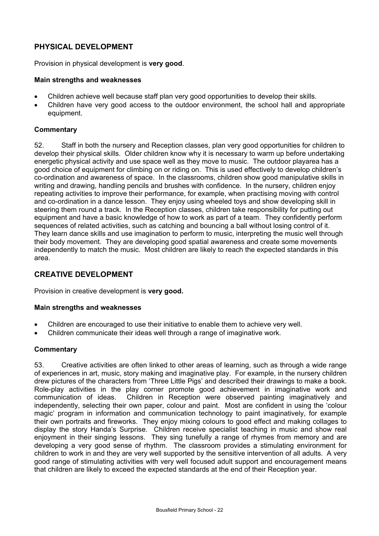## **PHYSICAL DEVELOPMENT**

Provision in physical development is **very good**.

#### **Main strengths and weaknesses**

- Children achieve well because staff plan very good opportunities to develop their skills.
- Children have very good access to the outdoor environment, the school hall and appropriate equipment.

### **Commentary**

52. Staff in both the nursery and Reception classes, plan very good opportunities for children to develop their physical skills. Older children know why it is necessary to warm up before undertaking energetic physical activity and use space well as they move to music. The outdoor playarea has a good choice of equipment for climbing on or riding on. This is used effectively to develop children's co-ordination and awareness of space. In the classrooms, children show good manipulative skills in writing and drawing, handling pencils and brushes with confidence. In the nursery, children enjoy repeating activities to improve their performance, for example, when practising moving with control and co-ordination in a dance lesson. They enjoy using wheeled toys and show developing skill in steering them round a track. In the Reception classes, children take responsibility for putting out equipment and have a basic knowledge of how to work as part of a team. They confidently perform sequences of related activities, such as catching and bouncing a ball without losing control of it. They learn dance skills and use imagination to perform to music, interpreting the music well through their body movement. They are developing good spatial awareness and create some movements independently to match the music. Most children are likely to reach the expected standards in this area.

### **CREATIVE DEVELOPMENT**

Provision in creative development is **very good.** 

### **Main strengths and weaknesses**

- Children are encouraged to use their initiative to enable them to achieve very well.
- Children communicate their ideas well through a range of imaginative work.

### **Commentary**

53. Creative activities are often linked to other areas of learning, such as through a wide range of experiences in art, music, story making and imaginative play. For example, in the nursery children drew pictures of the characters from 'Three Little Pigs' and described their drawings to make a book. Role-play activities in the play corner promote good achievement in imaginative work and communication of ideas. Children in Reception were observed painting imaginatively and independently, selecting their own paper, colour and paint. Most are confident in using the 'colour magic' program in information and communication technology to paint imaginatively, for example their own portraits and fireworks. They enjoy mixing colours to good effect and making collages to display the story Handa's Surprise. Children receive specialist teaching in music and show real enjoyment in their singing lessons. They sing tunefully a range of rhymes from memory and are developing a very good sense of rhythm. The classroom provides a stimulating environment for children to work in and they are very well supported by the sensitive intervention of all adults. A very good range of stimulating activities with very well focused adult support and encouragement means that children are likely to exceed the expected standards at the end of their Reception year.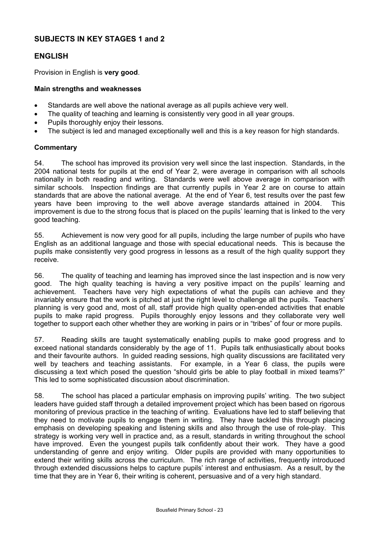### **SUBJECTS IN KEY STAGES 1 and 2**

### **ENGLISH**

Provision in English is **very good**.

#### **Main strengths and weaknesses**

- Standards are well above the national average as all pupils achieve very well.
- The quality of teaching and learning is consistently very good in all year groups.
- Pupils thoroughly enjoy their lessons.
- The subject is led and managed exceptionally well and this is a key reason for high standards.

#### **Commentary**

54. The school has improved its provision very well since the last inspection. Standards, in the 2004 national tests for pupils at the end of Year 2, were average in comparison with all schools nationally in both reading and writing. Standards were well above average in comparison with similar schools. Inspection findings are that currently pupils in Year 2 are on course to attain standards that are above the national average. At the end of Year 6, test results over the past few years have been improving to the well above average standards attained in 2004. This improvement is due to the strong focus that is placed on the pupils' learning that is linked to the very good teaching.

55. Achievement is now very good for all pupils, including the large number of pupils who have English as an additional language and those with special educational needs. This is because the pupils make consistently very good progress in lessons as a result of the high quality support they receive.

56. The quality of teaching and learning has improved since the last inspection and is now very good. The high quality teaching is having a very positive impact on the pupils' learning and achievement. Teachers have very high expectations of what the pupils can achieve and they invariably ensure that the work is pitched at just the right level to challenge all the pupils. Teachers' planning is very good and, most of all, staff provide high quality open-ended activities that enable pupils to make rapid progress. Pupils thoroughly enjoy lessons and they collaborate very well together to support each other whether they are working in pairs or in "tribes" of four or more pupils.

57. Reading skills are taught systematically enabling pupils to make good progress and to exceed national standards considerably by the age of 11. Pupils talk enthusiastically about books and their favourite authors. In guided reading sessions, high quality discussions are facilitated very well by teachers and teaching assistants. For example, in a Year 6 class, the pupils were discussing a text which posed the question "should girls be able to play football in mixed teams?" This led to some sophisticated discussion about discrimination.

58. The school has placed a particular emphasis on improving pupils' writing. The two subject leaders have guided staff through a detailed improvement project which has been based on rigorous monitoring of previous practice in the teaching of writing. Evaluations have led to staff believing that they need to motivate pupils to engage them in writing. They have tackled this through placing emphasis on developing speaking and listening skills and also through the use of role-play. This strategy is working very well in practice and, as a result, standards in writing throughout the school have improved. Even the youngest pupils talk confidently about their work. They have a good understanding of genre and enjoy writing. Older pupils are provided with many opportunities to extend their writing skills across the curriculum. The rich range of activities, frequently introduced through extended discussions helps to capture pupils' interest and enthusiasm. As a result, by the time that they are in Year 6, their writing is coherent, persuasive and of a very high standard.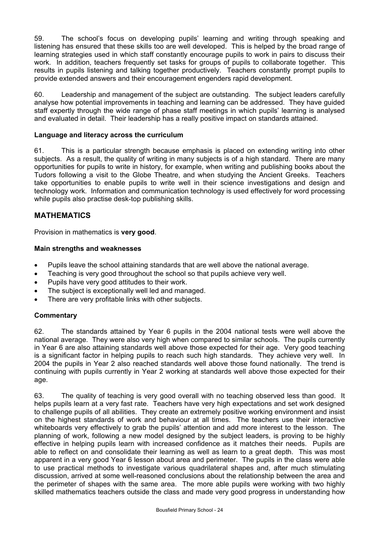59. The school's focus on developing pupils' learning and writing through speaking and listening has ensured that these skills too are well developed. This is helped by the broad range of learning strategies used in which staff constantly encourage pupils to work in pairs to discuss their work. In addition, teachers frequently set tasks for groups of pupils to collaborate together. This results in pupils listening and talking together productively. Teachers constantly prompt pupils to provide extended answers and their encouragement engenders rapid development.

60. Leadership and management of the subject are outstanding. The subject leaders carefully analyse how potential improvements in teaching and learning can be addressed. They have guided staff expertly through the wide range of phase staff meetings in which pupils' learning is analysed and evaluated in detail. Their leadership has a really positive impact on standards attained.

### **Language and literacy across the curriculum**

61. This is a particular strength because emphasis is placed on extending writing into other subjects. As a result, the quality of writing in many subjects is of a high standard. There are many opportunities for pupils to write in history, for example, when writing and publishing books about the Tudors following a visit to the Globe Theatre, and when studying the Ancient Greeks. Teachers take opportunities to enable pupils to write well in their science investigations and design and technology work. Information and communication technology is used effectively for word processing while pupils also practise desk-top publishing skills.

### **MATHEMATICS**

Provision in mathematics is **very good**.

#### **Main strengths and weaknesses**

- Pupils leave the school attaining standards that are well above the national average.
- Teaching is very good throughout the school so that pupils achieve very well.
- Pupils have very good attitudes to their work.
- The subject is exceptionally well led and managed.
- There are very profitable links with other subjects.

### **Commentary**

62. The standards attained by Year 6 pupils in the 2004 national tests were well above the national average. They were also very high when compared to similar schools. The pupils currently in Year 6 are also attaining standards well above those expected for their age. Very good teaching is a significant factor in helping pupils to reach such high standards. They achieve very well. In 2004 the pupils in Year 2 also reached standards well above those found nationally. The trend is continuing with pupils currently in Year 2 working at standards well above those expected for their age.

63. The quality of teaching is very good overall with no teaching observed less than good. It helps pupils learn at a very fast rate. Teachers have very high expectations and set work designed to challenge pupils of all abilities. They create an extremely positive working environment and insist on the highest standards of work and behaviour at all times. The teachers use their interactive whiteboards very effectively to grab the pupils' attention and add more interest to the lesson. The planning of work, following a new model designed by the subject leaders, is proving to be highly effective in helping pupils learn with increased confidence as it matches their needs. Pupils are able to reflect on and consolidate their learning as well as learn to a great depth. This was most apparent in a very good Year 6 lesson about area and perimeter. The pupils in the class were able to use practical methods to investigate various quadrilateral shapes and, after much stimulating discussion, arrived at some well-reasoned conclusions about the relationship between the area and the perimeter of shapes with the same area. The more able pupils were working with two highly skilled mathematics teachers outside the class and made very good progress in understanding how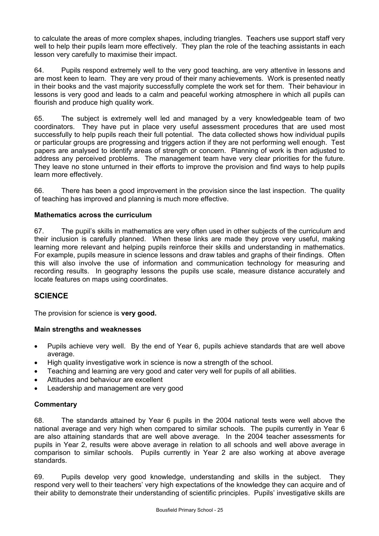to calculate the areas of more complex shapes, including triangles. Teachers use support staff very well to help their pupils learn more effectively. They plan the role of the teaching assistants in each lesson very carefully to maximise their impact.

64. Pupils respond extremely well to the very good teaching, are very attentive in lessons and are most keen to learn. They are very proud of their many achievements. Work is presented neatly in their books and the vast majority successfully complete the work set for them. Their behaviour in lessons is very good and leads to a calm and peaceful working atmosphere in which all pupils can flourish and produce high quality work.

65. The subject is extremely well led and managed by a very knowledgeable team of two coordinators. They have put in place very useful assessment procedures that are used most successfully to help pupils reach their full potential. The data collected shows how individual pupils or particular groups are progressing and triggers action if they are not performing well enough. Test papers are analysed to identify areas of strength or concern. Planning of work is then adjusted to address any perceived problems. The management team have very clear priorities for the future. They leave no stone unturned in their efforts to improve the provision and find ways to help pupils learn more effectively.

66. There has been a good improvement in the provision since the last inspection. The quality of teaching has improved and planning is much more effective.

### **Mathematics across the curriculum**

67. The pupil's skills in mathematics are very often used in other subjects of the curriculum and their inclusion is carefully planned. When these links are made they prove very useful, making learning more relevant and helping pupils reinforce their skills and understanding in mathematics. For example, pupils measure in science lessons and draw tables and graphs of their findings. Often this will also involve the use of information and communication technology for measuring and recording results. In geography lessons the pupils use scale, measure distance accurately and locate features on maps using coordinates.

### **SCIENCE**

The provision for science is **very good.**

### **Main strengths and weaknesses**

- Pupils achieve very well. By the end of Year 6, pupils achieve standards that are well above average.
- High quality investigative work in science is now a strength of the school.
- Teaching and learning are very good and cater very well for pupils of all abilities.
- Attitudes and behaviour are excellent
- Leadership and management are very good

### **Commentary**

68. The standards attained by Year 6 pupils in the 2004 national tests were well above the national average and very high when compared to similar schools. The pupils currently in Year 6 are also attaining standards that are well above average. In the 2004 teacher assessments for pupils in Year 2, results were above average in relation to all schools and well above average in comparison to similar schools. Pupils currently in Year 2 are also working at above average standards.

69. Pupils develop very good knowledge, understanding and skills in the subject. They respond very well to their teachers' very high expectations of the knowledge they can acquire and of their ability to demonstrate their understanding of scientific principles. Pupils' investigative skills are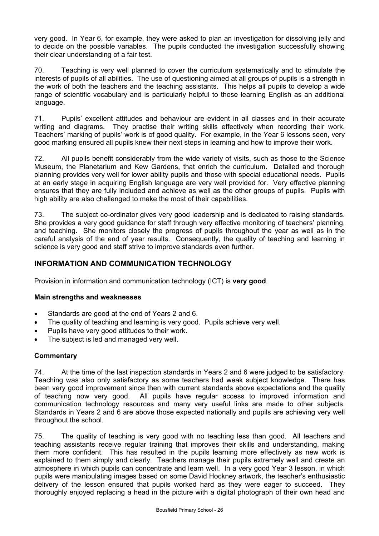very good. In Year 6, for example, they were asked to plan an investigation for dissolving jelly and to decide on the possible variables. The pupils conducted the investigation successfully showing their clear understanding of a fair test.

70. Teaching is very well planned to cover the curriculum systematically and to stimulate the interests of pupils of all abilities. The use of questioning aimed at all groups of pupils is a strength in the work of both the teachers and the teaching assistants. This helps all pupils to develop a wide range of scientific vocabulary and is particularly helpful to those learning English as an additional language.

71. Pupils' excellent attitudes and behaviour are evident in all classes and in their accurate writing and diagrams. They practise their writing skills effectively when recording their work. Teachers' marking of pupils' work is of good quality. For example, in the Year 6 lessons seen, very good marking ensured all pupils knew their next steps in learning and how to improve their work.

72. All pupils benefit considerably from the wide variety of visits, such as those to the Science Museum, the Planetarium and Kew Gardens, that enrich the curriculum. Detailed and thorough planning provides very well for lower ability pupils and those with special educational needs. Pupils at an early stage in acquiring English language are very well provided for. Very effective planning ensures that they are fully included and achieve as well as the other groups of pupils. Pupils with high ability are also challenged to make the most of their capabilities.

73. The subject co-ordinator gives very good leadership and is dedicated to raising standards. She provides a very good guidance for staff through very effective monitoring of teachers' planning, and teaching. She monitors closely the progress of pupils throughout the year as well as in the careful analysis of the end of year results. Consequently, the quality of teaching and learning in science is very good and staff strive to improve standards even further.

# **INFORMATION AND COMMUNICATION TECHNOLOGY**

Provision in information and communication technology (ICT) is **very good**.

### **Main strengths and weaknesses**

- Standards are good at the end of Years 2 and 6.
- The quality of teaching and learning is very good. Pupils achieve very well.
- Pupils have very good attitudes to their work.
- The subject is led and managed very well.

### **Commentary**

74. At the time of the last inspection standards in Years 2 and 6 were judged to be satisfactory. Teaching was also only satisfactory as some teachers had weak subject knowledge. There has been very good improvement since then with current standards above expectations and the quality of teaching now very good. All pupils have regular access to improved information and communication technology resources and many very useful links are made to other subjects. Standards in Years 2 and 6 are above those expected nationally and pupils are achieving very well throughout the school.

75. The quality of teaching is very good with no teaching less than good. All teachers and teaching assistants receive regular training that improves their skills and understanding, making them more confident. This has resulted in the pupils learning more effectively as new work is explained to them simply and clearly. Teachers manage their pupils extremely well and create an atmosphere in which pupils can concentrate and learn well. In a very good Year 3 lesson, in which pupils were manipulating images based on some David Hockney artwork, the teacher's enthusiastic delivery of the lesson ensured that pupils worked hard as they were eager to succeed. They thoroughly enjoyed replacing a head in the picture with a digital photograph of their own head and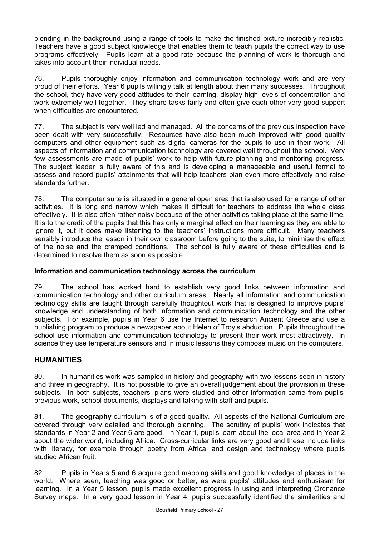blending in the background using a range of tools to make the finished picture incredibly realistic. Teachers have a good subject knowledge that enables them to teach pupils the correct way to use programs effectively. Pupils learn at a good rate because the planning of work is thorough and takes into account their individual needs.

76. Pupils thoroughly enjoy information and communication technology work and are very proud of their efforts. Year 6 pupils willingly talk at length about their many successes. Throughout the school, they have very good attitudes to their learning, display high levels of concentration and work extremely well together. They share tasks fairly and often give each other very good support when difficulties are encountered.

77. The subject is very well led and managed. All the concerns of the previous inspection have been dealt with very successfully. Resources have also been much improved with good quality computers and other equipment such as digital cameras for the pupils to use in their work. All aspects of information and communication technology are covered well throughout the school. Very few assessments are made of pupils' work to help with future planning and monitoring progress. The subject leader is fully aware of this and is developing a manageable and useful format to assess and record pupils' attainments that will help teachers plan even more effectively and raise standards further.

78. The computer suite is situated in a general open area that is also used for a range of other activities. It is long and narrow which makes it difficult for teachers to address the whole class effectively. It is also often rather noisy because of the other activities taking place at the same time. It is to the credit of the pupils that this has only a marginal effect on their learning as they are able to ignore it, but it does make listening to the teachers' instructions more difficult. Many teachers sensibly introduce the lesson in their own classroom before going to the suite, to minimise the effect of the noise and the cramped conditions. The school is fully aware of these difficulties and is determined to resolve them as soon as possible.

### **Information and communication technology across the curriculum**

79. The school has worked hard to establish very good links between information and communication technology and other curriculum areas. Nearly all information and communication technology skills are taught through carefully thoughtout work that is designed to improve pupils' knowledge and understanding of both information and communication technology and the other subjects. For example, pupils in Year 6 use the Internet to research Ancient Greece and use a publishing program to produce a newspaper about Helen of Troy's abduction. Pupils throughout the school use information and communication technology to present their work most attractively. In science they use temperature sensors and in music lessons they compose music on the computers.

# **HUMANITIES**

80. In humanities work was sampled in history and geography with two lessons seen in history and three in geography. It is not possible to give an overall judgement about the provision in these subjects. In both subjects, teachers' plans were studied and other information came from pupils' previous work, school documents, displays and talking with staff and pupils.

81. The **geography** curriculum is of a good quality. All aspects of the National Curriculum are covered through very detailed and thorough planning. The scrutiny of pupils' work indicates that standards in Year 2 and Year 6 are good. In Year 1, pupils learn about the local area and in Year 2 about the wider world, including Africa. Cross-curricular links are very good and these include links with literacy, for example through poetry from Africa, and design and technology where pupils studied African fruit.

82. Pupils in Years 5 and 6 acquire good mapping skills and good knowledge of places in the world. Where seen, teaching was good or better, as were pupils' attitudes and enthusiasm for learning. In a Year 5 lesson, pupils made excellent progress in using and interpreting Ordnance Survey maps. In a very good lesson in Year 4, pupils successfully identified the similarities and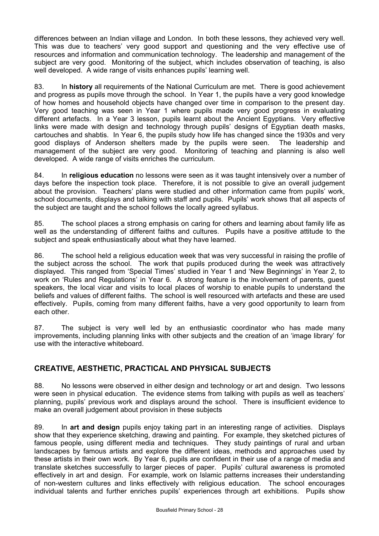differences between an Indian village and London. In both these lessons, they achieved very well. This was due to teachers' very good support and questioning and the very effective use of resources and information and communication technology. The leadership and management of the subject are very good. Monitoring of the subject, which includes observation of teaching, is also well developed. A wide range of visits enhances pupils' learning well.

83. In **history** all requirements of the National Curriculum are met. There is good achievement and progress as pupils move through the school. In Year 1, the pupils have a very good knowledge of how homes and household objects have changed over time in comparison to the present day. Very good teaching was seen in Year 1 where pupils made very good progress in evaluating different artefacts. In a Year 3 lesson, pupils learnt about the Ancient Egyptians. Very effective links were made with design and technology through pupils' designs of Egyptian death masks, cartouches and shabtis. In Year 6, the pupils study how life has changed since the 1930s and very good displays of Anderson shelters made by the pupils were seen. The leadership and management of the subject are very good. Monitoring of teaching and planning is also well developed. A wide range of visits enriches the curriculum.

84. In **religious education** no lessons were seen as it was taught intensively over a number of days before the inspection took place. Therefore, it is not possible to give an overall judgement about the provision. Teachers' plans were studied and other information came from pupils' work, school documents, displays and talking with staff and pupils. Pupils' work shows that all aspects of the subject are taught and the school follows the locally agreed syllabus.

85. The school places a strong emphasis on caring for others and learning about family life as well as the understanding of different faiths and cultures. Pupils have a positive attitude to the subject and speak enthusiastically about what they have learned.

86. The school held a religious education week that was very successful in raising the profile of the subject across the school. The work that pupils produced during the week was attractively displayed. This ranged from 'Special Times' studied in Year 1 and 'New Beginnings' in Year 2, to work on 'Rules and Regulations' in Year 6. A strong feature is the involvement of parents, guest speakers, the local vicar and visits to local places of worship to enable pupils to understand the beliefs and values of different faiths. The school is well resourced with artefacts and these are used effectively. Pupils, coming from many different faiths, have a very good opportunity to learn from each other.

87. The subject is very well led by an enthusiastic coordinator who has made many improvements, including planning links with other subjects and the creation of an 'image library' for use with the interactive whiteboard.

# **CREATIVE, AESTHETIC, PRACTICAL AND PHYSICAL SUBJECTS**

88. No lessons were observed in either design and technology or art and design. Two lessons were seen in physical education. The evidence stems from talking with pupils as well as teachers' planning, pupils' previous work and displays around the school. There is insufficient evidence to make an overall judgement about provision in these subjects

89. In **art and design** pupils enjoy taking part in an interesting range of activities. Displays show that they experience sketching, drawing and painting. For example, they sketched pictures of famous people, using different media and techniques. They study paintings of rural and urban landscapes by famous artists and explore the different ideas, methods and approaches used by these artists in their own work. By Year 6, pupils are confident in their use of a range of media and translate sketches successfully to larger pieces of paper. Pupils' cultural awareness is promoted effectively in art and design. For example, work on Islamic patterns increases their understanding of non-western cultures and links effectively with religious education. The school encourages individual talents and further enriches pupils' experiences through art exhibitions. Pupils show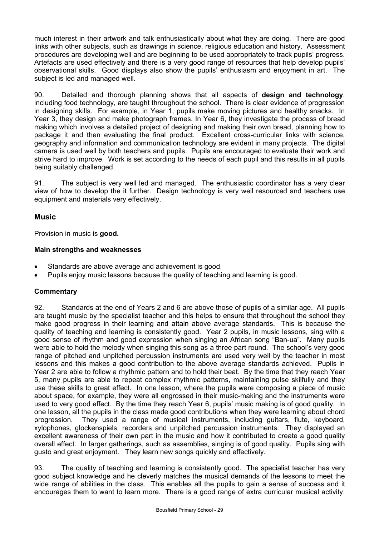much interest in their artwork and talk enthusiastically about what they are doing. There are good links with other subjects, such as drawings in science, religious education and history. Assessment procedures are developing well and are beginning to be used appropriately to track pupils' progress. Artefacts are used effectively and there is a very good range of resources that help develop pupils' observational skills. Good displays also show the pupils' enthusiasm and enjoyment in art. The subject is led and managed well.

90. Detailed and thorough planning shows that all aspects of **design and technology**, including food technology, are taught throughout the school. There is clear evidence of progression in designing skills. For example, in Year 1, pupils make moving pictures and healthy snacks. In Year 3, they design and make photograph frames. In Year 6, they investigate the process of bread making which involves a detailed project of designing and making their own bread, planning how to package it and then evaluating the final product. Excellent cross-curricular links with science, geography and information and communication technology are evident in many projects. The digital camera is used well by both teachers and pupils. Pupils are encouraged to evaluate their work and strive hard to improve. Work is set according to the needs of each pupil and this results in all pupils being suitably challenged.

91. The subject is very well led and managed. The enthusiastic coordinator has a very clear view of how to develop the it further. Design technology is very well resourced and teachers use equipment and materials very effectively.

## **Music**

Provision in music is **good.**

### **Main strengths and weaknesses**

- Standards are above average and achievement is good.
- Pupils enjoy music lessons because the quality of teaching and learning is good.

### **Commentary**

92. Standards at the end of Years 2 and 6 are above those of pupils of a similar age. All pupils are taught music by the specialist teacher and this helps to ensure that throughout the school they make good progress in their learning and attain above average standards. This is because the quality of teaching and learning is consistently good. Year 2 pupils, in music lessons, sing with a good sense of rhythm and good expression when singing an African song "Ban-ua". Many pupils were able to hold the melody when singing this song as a three part round. The school's very good range of pitched and unpitched percussion instruments are used very well by the teacher in most lessons and this makes a good contribution to the above average standards achieved. Pupils in Year 2 are able to follow a rhythmic pattern and to hold their beat. By the time that they reach Year 5, many pupils are able to repeat complex rhythmic patterns, maintaining pulse skilfully and they use these skills to great effect. In one lesson, where the pupils were composing a piece of music about space, for example, they were all engrossed in their music-making and the instruments were used to very good effect. By the time they reach Year 6, pupils' music making is of good quality. In one lesson, all the pupils in the class made good contributions when they were learning about chord progression. They used a range of musical instruments, including guitars, flute, keyboard, xylophones, glockenspiels, recorders and unpitched percussion instruments. They displayed an excellent awareness of their own part in the music and how it contributed to create a good quality overall effect. In larger gatherings, such as assemblies, singing is of good quality. Pupils sing with gusto and great enjoyment. They learn new songs quickly and effectively.

93. The quality of teaching and learning is consistently good. The specialist teacher has very good subject knowledge and he cleverly matches the musical demands of the lessons to meet the wide range of abilities in the class. This enables all the pupils to gain a sense of success and it encourages them to want to learn more. There is a good range of extra curricular musical activity.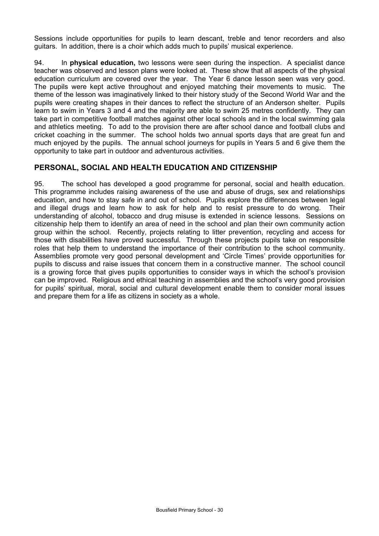Sessions include opportunities for pupils to learn descant, treble and tenor recorders and also guitars. In addition, there is a choir which adds much to pupils' musical experience.

94. In **physical education,** two lessons were seen during the inspection. A specialist dance teacher was observed and lesson plans were looked at. These show that all aspects of the physical education curriculum are covered over the year. The Year 6 dance lesson seen was very good. The pupils were kept active throughout and enjoyed matching their movements to music. The theme of the lesson was imaginatively linked to their history study of the Second World War and the pupils were creating shapes in their dances to reflect the structure of an Anderson shelter. Pupils learn to swim in Years 3 and 4 and the majority are able to swim 25 metres confidently. They can take part in competitive football matches against other local schools and in the local swimming gala and athletics meeting. To add to the provision there are after school dance and football clubs and cricket coaching in the summer. The school holds two annual sports days that are great fun and much enjoyed by the pupils. The annual school journeys for pupils in Years 5 and 6 give them the opportunity to take part in outdoor and adventurous activities.

### **PERSONAL, SOCIAL AND HEALTH EDUCATION AND CITIZENSHIP**

95. The school has developed a good programme for personal, social and health education. This programme includes raising awareness of the use and abuse of drugs, sex and relationships education, and how to stay safe in and out of school. Pupils explore the differences between legal and illegal drugs and learn how to ask for help and to resist pressure to do wrong. Their understanding of alcohol, tobacco and drug misuse is extended in science lessons. Sessions on citizenship help them to identify an area of need in the school and plan their own community action group within the school. Recently, projects relating to litter prevention, recycling and access for those with disabilities have proved successful. Through these projects pupils take on responsible roles that help them to understand the importance of their contribution to the school community. Assemblies promote very good personal development and 'Circle Times' provide opportunities for pupils to discuss and raise issues that concern them in a constructive manner. The school council is a growing force that gives pupils opportunities to consider ways in which the school's provision can be improved. Religious and ethical teaching in assemblies and the school's very good provision for pupils' spiritual, moral, social and cultural development enable them to consider moral issues and prepare them for a life as citizens in society as a whole.